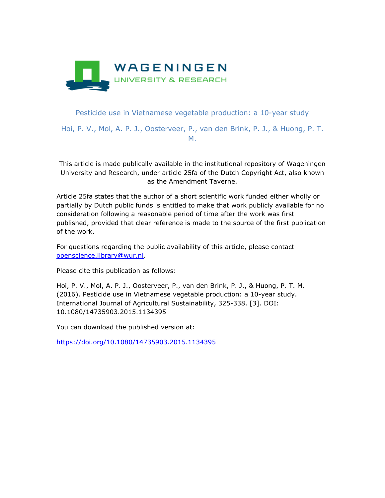

Pesticide use in Vietnamese vegetable production: a 10-year study

Hoi, P. V., Mol, A. P. J., Oosterveer, P., van den Brink, P. J., & Huong, P. T. M.

This article is made publically available in the institutional repository of Wageningen University and Research, under article 25fa of the Dutch Copyright Act, also known as the Amendment Taverne.

Article 25fa states that the author of a short scientific work funded either wholly or partially by Dutch public funds is entitled to make that work publicly available for no consideration following a reasonable period of time after the work was first published, provided that clear reference is made to the source of the first publication of the work.

For questions regarding the public availability of this article, please contact [openscience.library@wur.nl.](mailto:openscience.library@wur.nl)

Please cite this publication as follows:

Hoi, P. V., Mol, A. P. J., Oosterveer, P., van den Brink, P. J., & Huong, P. T. M. (2016). Pesticide use in Vietnamese vegetable production: a 10-year study. International Journal of Agricultural Sustainability, 325-338. [3]. DOI: 10.1080/14735903.2015.1134395

You can download the published version at:

<https://doi.org/10.1080/14735903.2015.1134395>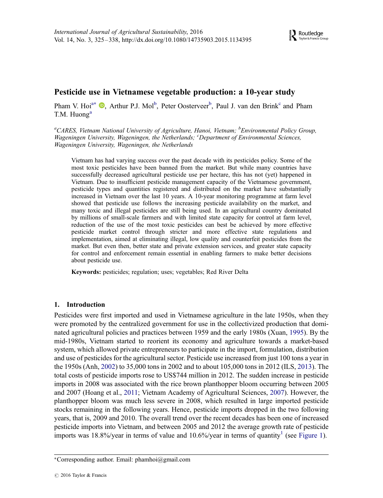# <span id="page-1-0"></span>Pesticide use in Vietnamese vegetable production: a 10-year study

Pham V. Hoi<sup>a\*</sup> <sup>®</sup>[,](http://orcid.org/0000-0003-3290-3012) Arthur P.J. Mol<sup>b</sup>, Peter Oosterveer<sup>b</sup>, Paul J. van den Brink<sup>c</sup> and Pham T.M. Huong<sup>a</sup>

<sup>a</sup>CARES, Vietnam National University of Agriculture, Hanoi, Vietnam; <sup>b</sup>Environmental Policy Group, Wageningen University, Wageningen, the Netherlands; <sup>c</sup>Department of Environmental Sciences, Wageningen University, Wageningen, the Netherlands

Vietnam has had varying success over the past decade with its pesticides policy. Some of the most toxic pesticides have been banned from the market. But while many countries have successfully decreased agricultural pesticide use per hectare, this has not (yet) happened in Vietnam. Due to insufficient pesticide management capacity of the Vietnamese government, pesticide types and quantities registered and distributed on the market have substantially increased in Vietnam over the last 10 years. A 10-year monitoring programme at farm level showed that pesticide use follows the increasing pesticide availability on the market, and many toxic and illegal pesticides are still being used. In an agricultural country dominated by millions of small-scale farmers and with limited state capacity for control at farm level, reduction of the use of the most toxic pesticides can best be achieved by more effective pesticide market control through stricter and more effective state regulations and implementation, aimed at eliminating illegal, low quality and counterfeit pesticides from the market. But even then, better state and private extension services, and greater state capacity for control and enforcement remain essential in enabling farmers to make better decisions about pesticide use.

Keywords: pesticides; regulation; uses; vegetables; Red River Delta

# 1. Introduction

Pesticides were first imported and used in Vietnamese agriculture in the late 1950s, when they were promoted by the centralized government for use in the collectivized production that dominated agricultural policies and practices between 1959 and the early 1980s (Xuan, [1995](#page-14-0)). By the mid-1980s, Vietnam started to reorient its economy and agriculture towards a market-based system, which allowed private entrepreneurs to participate in the import, formulation, distribution and use of pesticides for the agricultural sector. Pesticide use increased from just 100 tons a year in the 1950s (Anh, [2002](#page-12-0)) to 35,000 tons in 2002 and to about 105,000 tons in 2012 (ILS, [2013\)](#page-13-0). The total costs of pesticide imports rose to US\$744 million in 2012. The sudden increase in pesticide imports in 2008 was associated with the rice brown planthopper bloom occurring between 2005 and 2007 (Hoang et al., [2011](#page-13-0); Vietnam Academy of Agricultural Sciences, [2007\)](#page-14-0). However, the planthopper bloom was much less severe in 2008, which resulted in large imported pesticide stocks remaining in the following years. Hence, pesticide imports dropped in the two following years, that is, 2009 and 2010. The overall trend over the recent decades has been one of increased pesticide imports into Vietnam, and between 2005 and 2012 the average growth rate of pesticide imports was  $18.8\%$  $18.8\%$ /year in terms of value and  $10.6\%$ /year in terms of quantity<sup>1</sup> (see [Figure 1](#page-2-0)).

<sup>∗</sup>Corresponding author. Email: [phamhoi@gmail.com](mailto:phamhoi@gmail.com)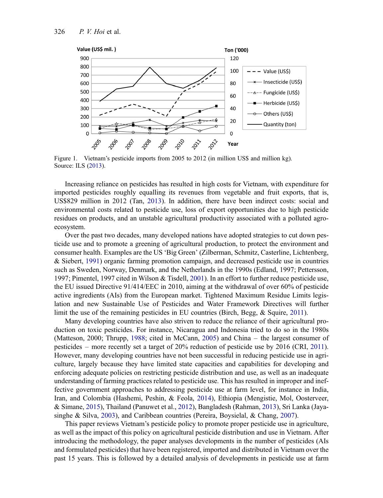<span id="page-2-0"></span>

Figure 1. Vietnam's pesticide imports from 2005 to 2012 (in million US\$ and million kg). Source: ILS ([2013\)](#page-13-0).

Increasing reliance on pesticides has resulted in high costs for Vietnam, with expenditure for imported pesticides roughly equalling its revenues from vegetable and fruit exports, that is, US\$829 million in 2012 (Tan, [2013](#page-13-0)). In addition, there have been indirect costs: social and environmental costs related to pesticide use, loss of export opportunities due to high pesticide residues on products, and an unstable agricultural productivity associated with a polluted agroecosystem.

Over the past two decades, many developed nations have adopted strategies to cut down pesticide use and to promote a greening of agricultural production, to protect the environment and consumer health. Examples are the US 'Big Green' (Zilberman, Schmitz, Casterline, Lichtenberg, & Siebert, [1991\)](#page-14-0) organic farming promotion campaign, and decreased pesticide use in countries such as Sweden, Norway, Denmark, and the Netherlands in the 1990s (Edland, 1997; Pettersson, 1997; Pimentel, 1997 cited in Wilson & Tisdell, [2001\)](#page-14-0). In an effort to further reduce pesticide use, the EU issued Directive 91/414/EEC in 2010, aiming at the withdrawal of over 60% of pesticide active ingredients (AIs) from the European market. Tightened Maximum Residue Limits legislation and new Sustainable Use of Pesticides and Water Framework Directives will further limit the use of the remaining pesticides in EU countries (Birch, Begg, & Squire, [2011\)](#page-12-0).

Many developing countries have also striven to reduce the reliance of their agricultural production on toxic pesticides. For instance, Nicaragua and Indonesia tried to do so in the 1980s (Matteson, 2000; Thrupp, [1988](#page-13-0); cited in McCann, [2005\)](#page-13-0) and China – the largest consumer of pesticides – more recently set a target of 20% reduction of pesticide use by 2016 (CRI, [2011](#page-12-0)). However, many developing countries have not been successful in reducing pesticide use in agriculture, largely because they have limited state capacities and capabilities for developing and enforcing adequate policies on restricting pesticide distribution and use, as well as an inadequate understanding of farming practices related to pesticide use. This has resulted in improper and ineffective government approaches to addressing pesticide use at farm level, for instance in India, Iran, and Colombia (Hashemi, Peshin, & Feola, [2014\)](#page-12-0), Ethiopia (Mengistie, Mol, Oosterveer, & Simane, [2015](#page-13-0)), Thailand (Panuwet et al., [2012](#page-13-0)), Bangladesh (Rahman, [2013](#page-13-0)), Sri Lanka (Jayasinghe & Silva, [2003](#page-13-0)), and Caribbean countries (Pereira, Boysielal, & Chang, [2007](#page-13-0)).

This paper reviews Vietnam's pesticide policy to promote proper pesticide use in agriculture, as well as the impact of this policy on agricultural pesticide distribution and use in Vietnam. After introducing the methodology, the paper analyses developments in the number of pesticides (AIs and formulated pesticides) that have been registered, imported and distributed in Vietnam over the past 15 years. This is followed by a detailed analysis of developments in pesticide use at farm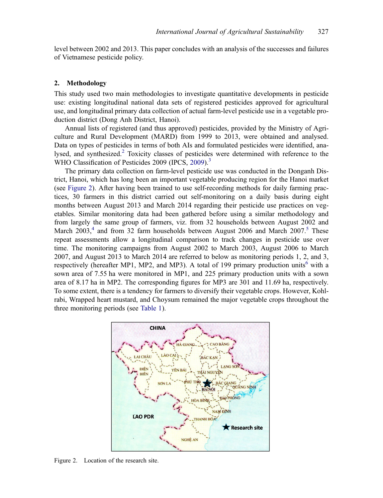<span id="page-3-0"></span>level between 2002 and 2013. This paper concludes with an analysis of the successes and failures of Vietnamese pesticide policy.

### 2. Methodology

This study used two main methodologies to investigate quantitative developments in pesticide use: existing longitudinal national data sets of registered pesticides approved for agricultural use, and longitudinal primary data collection of actual farm-level pesticide use in a vegetable production district (Dong Anh District, Hanoi).

Annual lists of registered (and thus approved) pesticides, provided by the Ministry of Agriculture and Rural Development (MARD) from 1999 to 2013, were obtained and analysed. Data on types of pesticides in terms of both AIs and formulated pesticides were identified, ana-lysed, and synthesized.<sup>[2](#page-11-0)</sup> Toxicity classes of pesticides were determined with reference to the WHO Classification of Pesticides [2009](#page-13-0) (IPCS, 2009).<sup>[3](#page-11-0)</sup>

The primary data collection on farm-level pesticide use was conducted in the Donganh District, Hanoi, which has long been an important vegetable producing region for the Hanoi market (see Figure 2). After having been trained to use self-recording methods for daily farming practices, 30 farmers in this district carried out self-monitoring on a daily basis during eight months between August 2013 and March 2014 regarding their pesticide use practices on vegetables. Similar monitoring data had been gathered before using a similar methodology and from largely the same group of farmers, viz. from 32 households between August 2002 and March 2003,<sup>[4](#page-11-0)</sup> and from 32 farm households between August 2006 and March 2007.<sup>5</sup> These repeat assessments allow a longitudinal comparison to track changes in pesticide use over time. The monitoring campaigns from August 2002 to March 2003, August 2006 to March 2007, and August 2013 to March 2014 are referred to below as monitoring periods 1, 2, and 3, respectively (hereafter MP1, MP2, and MP3). A total of 199 primary production units<sup>6</sup> with a sown area of 7.55 ha were monitored in MP1, and 225 primary production units with a sown area of 8.17 ha in MP2. The corresponding figures for MP3 are 301 and 11.69 ha, respectively. To some extent, there is a tendency for farmers to diversify their vegetable crops. However, Kohlrabi, Wrapped heart mustard, and Choysum remained the major vegetable crops throughout the three monitoring periods (see [Table 1\)](#page-4-0).



Figure 2. Location of the research site.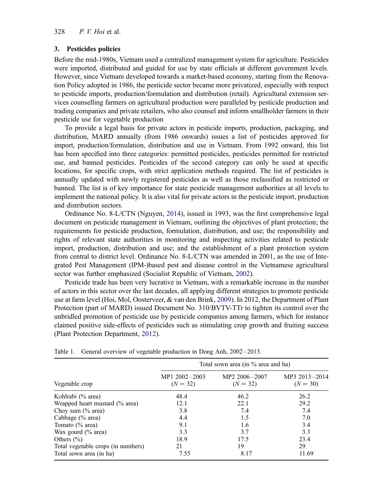# <span id="page-4-0"></span>3. Pesticides policies

Before the mid-1980s, Vietnam used a centralized management system for agriculture. Pesticides were imported, distributed and guided for use by state officials at different government levels. However, since Vietnam developed towards a market-based economy, starting from the Renovation Policy adopted in 1986, the pesticide sector became more privatized, especially with respect to pesticide imports, production/formulation and distribution (retail). Agricultural extension services counselling farmers on agricultural production were paralleled by pesticide production and trading companies and private retailers, who also counsel and inform smallholder farmers in their pesticide use for vegetable production

To provide a legal basis for private actors in pesticide imports, production, packaging, and distribution, MARD annually (from 1986 onwards) issues a list of pesticides approved for import, production/formulation, distribution and use in Vietnam. From 1992 onward, this list has been specified into three categories: permitted pesticides, pesticides permitted for restricted use, and banned pesticides. Pesticides of the second category can only be used at specific locations, for specific crops, with strict application methods required. The list of pesticides is annually updated with newly registered pesticides as well as those reclassified as restricted or banned. The list is of key importance for state pesticide management authorities at all levels to implement the national policy. It is also vital for private actors in the pesticide import, production and distribution sectors.

Ordinance No. 8-L/CTN (Nguyen, [2014](#page-13-0)), issued in 1993, was the first comprehensive legal document on pesticide management in Vietnam, outlining the objectives of plant protection; the requirements for pesticide production, formulation, distribution, and use; the responsibility and rights of relevant state authorities in monitoring and inspecting activities related to pesticide import, production, distribution and use; and the establishment of a plant protection system from central to district level. Ordinance No. 8-L/CTN was amended in 2001, as the use of Integrated Pest Management (IPM-)based pest and disease control in the Vietnamese agricultural sector was further emphasized (Socialist Republic of Vietnam, [2002\)](#page-13-0).

Pesticide trade has been very lucrative in Vietnam, with a remarkable increase in the number of actors in this sector over the last decades, all applying different strategies to promote pesticide use at farm level (Hoi, Mol, Oosterveer, & van den Brink, [2009\)](#page-13-0). In 2012, the Department of Plant Protection (part of MARD) issued Document No. 310/BVTV-TTr to tighten its control over the unbridled promotion of pesticide use by pesticide companies among farmers, which for instance claimed positive side-effects of pesticides such as stimulating crop growth and fruiting success (Plant Protection Department, [2012](#page-13-0)).

|                                    | Total sown area (in % area and ha) |                                         |                             |  |  |
|------------------------------------|------------------------------------|-----------------------------------------|-----------------------------|--|--|
| Vegetable crop                     | MP1 2002-2003<br>$(N = 32)$        | MP <sub>2</sub> 2006-2007<br>$(N = 32)$ | MP3 2013-2014<br>$(N = 30)$ |  |  |
| Kohlrabi (% area)                  | 48.4                               | 46.2                                    | 26.2                        |  |  |
| Wrapped heart mustard (% area)     | 12.1                               | 22.1                                    | 29.2                        |  |  |
| Choy sum $(\%$ area)               | 3.8                                | 7.4                                     | 7.4                         |  |  |
| Cabbage (% area)                   | 4.4                                | 1.5                                     | 7.0                         |  |  |
| Tomato $(\%$ area)                 | 9.1                                | 1.6                                     | 3.4                         |  |  |
| Wax gourd (% area)                 | 3.3                                | 3.7                                     | 3.3                         |  |  |
| Others $(\% )$                     | 18.9                               | 17.5                                    | 23.4                        |  |  |
| Total vegetable crops (in numbers) | 21                                 | 19                                      | 29                          |  |  |
| Total sown area (in ha)            | 7.55                               | 8.17                                    | 11.69                       |  |  |

Table 1. General overview of vegetable production in Dong Anh, 2002–2013.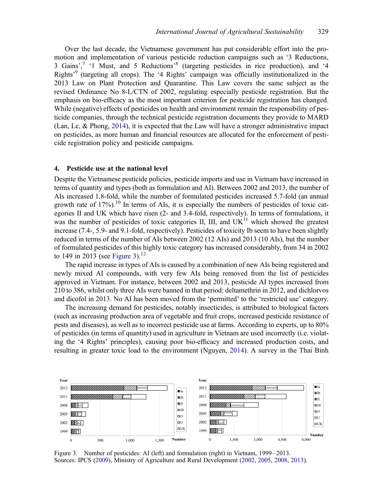<span id="page-5-0"></span>Over the last decade, the Vietnamese government has put considerable effort into the promotion and implementation of various pesticide reduction campaigns such as '3 Reductions, 3 Gains',<sup>[7](#page-12-0)</sup> '1 Must, and 5 Reductions'<sup>[8](#page-12-0)</sup> (targeting pesticides in rice production), and '4 Rights['9](#page-12-0) (targeting all crops). The '4 Rights' campaign was officially institutionalized in the 2013 Law on Plant Protection and Quarantine. This Law covers the same subject as the revised Ordinance No 8-L/CTN of 2002, regulating especially pesticide registration. But the emphasis on bio-efficacy as the most important criterion for pesticide registration has changed. While (negative) effects of pesticides on health and environment remain the responsibility of pesticide companies, through the technical pesticide registration documents they provide to MARD (Lan, Le, & Phong, [2014](#page-13-0)), it is expected that the Law will have a stronger administrative impact on pesticides, as more human and financial resources are allocated for the enforcement of pesticide registration policy and pesticide campaigns.

### 4. Pesticide use at the national level

Despite the Vietnamese pesticide policies, pesticide imports and use in Vietnam have increased in terms of quantity and types (both as formulation and AI). Between 2002 and 2013, the number of AIs increased 1.8-fold, while the number of formulated pesticides increased 5.7-fold (an annual growth rate of 17%).<sup>[10](#page-12-0)</sup> In terms of AIs, it is especially the numbers of pesticides of toxic categories II and UK which have risen (2- and 3.4-fold, respectively). In terms of formulations, it was the number of pesticides of toxic categories II, III, and  $UK<sup>11</sup>$  $UK<sup>11</sup>$  $UK<sup>11</sup>$  which showed the greatest increase (7.4-, 5.9- and 9.1-fold, respectively). Pesticides of toxicity Ib seem to have been slightly reduced in terms of the number of AIs between 2002 (12 AIs) and 2013 (10 AIs), but the number of formulated pesticides of this highly toxic category has increased considerably, from 34 in 2002 to 149 in 2013 (see Figure 3).<sup>[12](#page-12-0)</sup>

The rapid increase in types of AIs is caused by a combination of new AIs being registered and newly mixed AI compounds, with very few AIs being removed from the list of pesticides approved in Vietnam. For instance, between 2002 and 2013, pesticide AI types increased from 210 to 386, whilst only three AIs were banned in that period: deltamethrin in 2012, and dichlorvos and dicofol in 2013. No AI has been moved from the 'permitted' to the 'restricted use' category.

The increasing demand for pesticides, notably insecticides, is attributed to biological factors (such as increasing production area of vegetable and fruit crops, increased pesticide resistance of pests and diseases), as well as to incorrect pesticide use at farms. According to experts, up to 80% of pesticides (in terms of quantity) used in agriculture in Vietnam are used incorrectly (i.e. violating the '4 Rights' principles), causing poor bio-efficacy and increased production costs, and resulting in greater toxic load to the environment (Nguyen, [2014\)](#page-13-0). A survey in the Thai Binh



Figure 3. Number of pesticides: AI (left) and formulation (right) in Vietnam, 1999–2013. Sources: IPCS ([2009\)](#page-13-0), Ministry of Agriculture and Rural Development [\(2002](#page-13-0), [2005](#page-13-0), [2008](#page-13-0), [2013](#page-13-0)).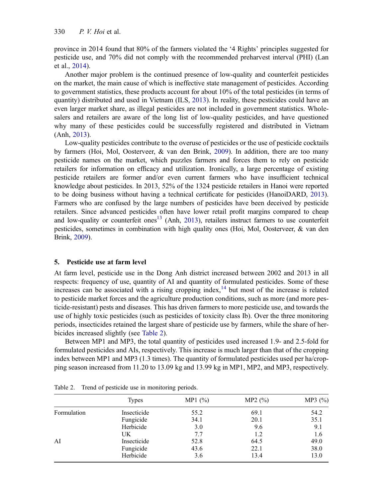<span id="page-6-0"></span>province in 2014 found that 80% of the farmers violated the '4 Rights' principles suggested for pesticide use, and 70% did not comply with the recommended preharvest interval (PHI) (Lan et al., [2014](#page-13-0)).

Another major problem is the continued presence of low-quality and counterfeit pesticides on the market, the main cause of which is ineffective state management of pesticides. According to government statistics, these products account for about 10% of the total pesticides (in terms of quantity) distributed and used in Vietnam (ILS, [2013\)](#page-13-0). In reality, these pesticides could have an even larger market share, as illegal pesticides are not included in government statistics. Wholesalers and retailers are aware of the long list of low-quality pesticides, and have questioned why many of these pesticides could be successfully registered and distributed in Vietnam (Anh, [2013\)](#page-12-0).

Low-quality pesticides contribute to the overuse of pesticides or the use of pesticide cocktails by farmers (Hoi, Mol, Oosterveer, & van den Brink, [2009\)](#page-13-0). In addition, there are too many pesticide names on the market, which puzzles farmers and forces them to rely on pesticide retailers for information on efficacy and utilization. Ironically, a large percentage of existing pesticide retailers are former and/or even current farmers who have insufficient technical knowledge about pesticides. In 2013, 52% of the 1324 pesticide retailers in Hanoi were reported to be doing business without having a technical certificate for pesticides (HanoiDARD, [2013](#page-12-0)). Farmers who are confused by the large numbers of pesticides have been deceived by pesticide retailers. Since advanced pesticides often have lower retail profit margins compared to cheap and low-quality or counterfeit ones<sup>13</sup> (Anh, [2013](#page-12-0)), retailers instruct farmers to use counterfeit pesticides, sometimes in combination with high quality ones (Hoi, Mol, Oosterveer, & van den Brink, [2009](#page-13-0)).

#### 5. Pesticide use at farm level

At farm level, pesticide use in the Dong Anh district increased between 2002 and 2013 in all respects: frequency of use, quantity of AI and quantity of formulated pesticides. Some of these increases can be associated with a rising cropping index,  $14$  but most of the increase is related to pesticide market forces and the agriculture production conditions, such as more (and more pesticide-resistant) pests and diseases. This has driven farmers to more pesticide use, and towards the use of highly toxic pesticides (such as pesticides of toxicity class Ib). Over the three monitoring periods, insecticides retained the largest share of pesticide use by farmers, while the share of herbicides increased slightly (see Table 2).

Between MP1 and MP3, the total quantity of pesticides used increased 1.9- and 2.5-fold for formulated pesticides and AIs, respectively. This increase is much larger than that of the cropping index between MP1 and MP3 (1.3 times). The quantity of formulated pesticides used per ha/cropping season increased from 11.20 to 13.09 kg and 13.99 kg in MP1, MP2, and MP3, respectively.

|             | <b>Types</b> | MP1(%) | MP2(%) | $MP3$ (%) |
|-------------|--------------|--------|--------|-----------|
| Formulation | Insecticide  | 55.2   | 69.1   | 54.2      |
|             | Fungicide    | 34.1   | 20.1   | 35.1      |
|             | Herbicide    | 3.0    | 9.6    | 9.1       |
|             | UK.          | 7.7    | 1.2    | 1.6       |
| AI          | Insecticide  | 52.8   | 64.5   | 49.0      |
|             | Fungicide    | 43.6   | 22.1   | 38.0      |
|             | Herbicide    | 3.6    | 13.4   | 13.0      |

Table 2. Trend of pesticide use in monitoring periods.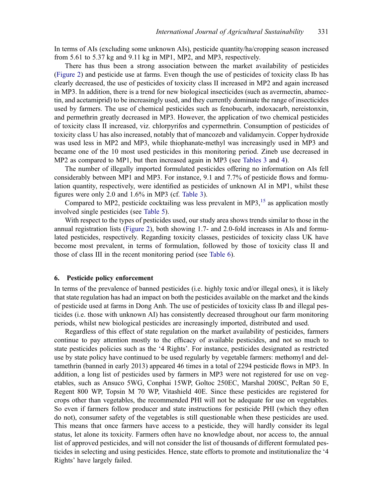In terms of AIs (excluding some unknown AIs), pesticide quantity/ha/cropping season increased from 5.61 to 5.37 kg and 9.11 kg in MP1, MP2, and MP3, respectively.

There has thus been a strong association between the market availability of pesticides [\(Figure 2](#page-3-0)) and pesticide use at farms. Even though the use of pesticides of toxicity class Ib has clearly decreased, the use of pesticides of toxicity class II increased in MP2 and again increased in MP3. In addition, there is a trend for new biological insecticides (such as avermectin, abamectin, and acetamiprid) to be increasingly used, and they currently dominate the range of insecticides used by farmers. The use of chemical pesticides such as fenobucarb, indoxacarb, nereistonxin, and permethrin greatly decreased in MP3. However, the application of two chemical pesticides of toxicity class II increased, viz. chlorpyrifos and cypermethrin. Consumption of pesticides of toxicity class U has also increased, notably that of mancozeb and validamycin. Copper hydroxide was used less in MP2 and MP3, while thiophanate-methyl was increasingly used in MP3 and became one of the 10 most used pesticides in this monitoring period. Zineb use decreased in MP2 as compared to MP1, but then increased again in MP3 (see [Tables 3](#page-8-0) and [4\)](#page-9-0).

The number of illegally imported formulated pesticides offering no information on AIs fell considerably between MP1 and MP3. For instance, 9.1 and 7.7% of pesticide flows and formulation quantity, respectively, were identified as pesticides of unknown AI in MP1, whilst these figures were only 2.0 and 1.6% in MP3 (cf. [Table 3\)](#page-8-0).

Compared to MP2, pesticide cocktailing was less prevalent in MP3, $^{15}$  $^{15}$  $^{15}$  as application mostly involved single pesticides (see [Table 5](#page-10-0)).

With respect to the types of pesticides used, our study area shows trends similar to those in the annual registration lists ([Figure 2\)](#page-3-0), both showing 1.7- and 2.0-fold increases in AIs and formulated pesticides, respectively. Regarding toxicity classes, pesticides of toxicity class UK have become most prevalent, in terms of formulation, followed by those of toxicity class II and those of class III in the recent monitoring period (see [Table 6](#page-10-0)).

### 6. Pesticide policy enforcement

In terms of the prevalence of banned pesticides (i.e. highly toxic and/or illegal ones), it is likely that state regulation has had an impact on both the pesticides available on the market and the kinds of pesticide used at farms in Dong Anh. The use of pesticides of toxicity class Ib and illegal pesticides (i.e. those with unknown AI) has consistently decreased throughout our farm monitoring periods, whilst new biological pesticides are increasingly imported, distributed and used.

Regardless of this effect of state regulation on the market availability of pesticides, farmers continue to pay attention mostly to the efficacy of available pesticides, and not so much to state pesticides policies such as the '4 Rights'. For instance, pesticides designated as restricted use by state policy have continued to be used regularly by vegetable farmers: methomyl and deltamethrin (banned in early 2013) appeared 46 times in a total of 2294 pesticide flows in MP3. In addition, a long list of pesticides used by farmers in MP3 were not registered for use on vegetables, such as Ansuco 5WG, Conphai 15WP, Goltoc 250EC, Marshal 200SC, PeRan 50 E, Regent 800 WP, Topsin M 70 WP, Vitashield 40E. Since these pesticides are registered for crops other than vegetables, the recommended PHI will not be adequate for use on vegetables. So even if farmers follow producer and state instructions for pesticide PHI (which they often do not), consumer safety of the vegetables is still questionable when these pesticides are used. This means that once farmers have access to a pesticide, they will hardly consider its legal status, let alone its toxicity. Farmers often have no knowledge about, nor access to, the annual list of approved pesticides, and will not consider the list of thousands of different formulated pesticides in selecting and using pesticides. Hence, state efforts to promote and institutionalize the '4 Rights' have largely failed.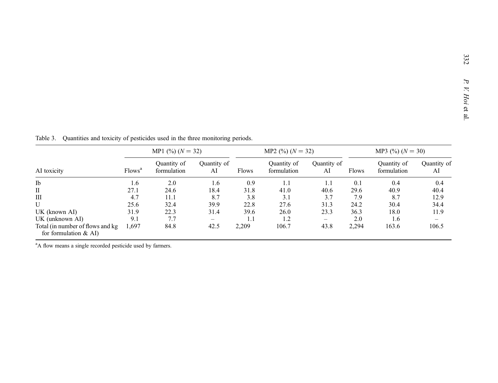|                                                              | MP1 $(\%)$ $(N = 32)$ |                            |                   | MP2 $(\%)$ $(N = 32)$ |                            |                          | MP3 $(\%) (N = 30)$ |                            |                   |
|--------------------------------------------------------------|-----------------------|----------------------------|-------------------|-----------------------|----------------------------|--------------------------|---------------------|----------------------------|-------------------|
| AI toxicity                                                  | Flows <sup>a</sup>    | Ouantity of<br>formulation | Quantity of<br>AI | <b>Flows</b>          | Quantity of<br>formulation | Quantity of<br>AI        | <b>Flows</b>        | Ouantity of<br>formulation | Quantity of<br>AI |
| Ib                                                           | 1.6                   | 2.0                        | 1.6               | 0.9                   | 1.1                        | 1.1                      | 0.1                 | 0.4                        | 0.4               |
| П                                                            | 27.1                  | 24.6                       | 18.4              | 31.8                  | 41.0                       | 40.6                     | 29.6                | 40.9                       | 40.4              |
| Ш                                                            | 4.7                   | 11.1                       | 8.7               | 3.8                   | 3.1                        | 3.7                      | 7.9                 | 8.7                        | 12.9              |
| U                                                            | 25.6                  | 32.4                       | 39.9              | 22.8                  | 27.6                       | 31.3                     | 24.2                | 30.4                       | 34.4              |
| UK (known AI)                                                | 31.9                  | 22.3                       | 31.4              | 39.6                  | 26.0                       | 23.3                     | 36.3                | 18.0                       | 11.9              |
| UK (unknown AI)                                              | 9.1                   | 7.7                        |                   | 1.1                   | 1.2                        | $\overline{\phantom{0}}$ | 2.0                 | 1.6                        |                   |
| Total (in number of flows and kg)<br>for formulation $&$ AI) | 1,697                 | 84.8                       | 42.5              | 2,209                 | 106.7                      | 43.8                     | 2,294               | 163.6                      | 106.5             |

<span id="page-8-0"></span>Table 3. Quantities and toxicity of pesticides used in the three monitoring periods.

<sup>a</sup>A flow means a single recorded pesticide used by farmers.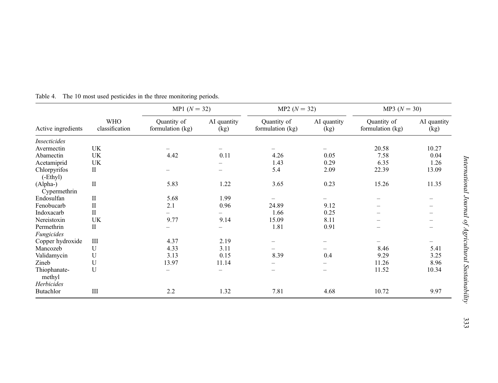|                            |                              | MP1 $(N = 32)$                  |                          | $MP2 (N = 32)$                  |                          | MP3 $(N = 30)$                  |                     |
|----------------------------|------------------------------|---------------------------------|--------------------------|---------------------------------|--------------------------|---------------------------------|---------------------|
| Active ingredients         | <b>WHO</b><br>classification | Quantity of<br>formulation (kg) | AI quantity<br>(kg)      | Quantity of<br>formulation (kg) | AI quantity<br>(kg)      | Quantity of<br>formulation (kg) | AI quantity<br>(kg) |
| <i>Insecticides</i>        |                              |                                 |                          |                                 |                          |                                 |                     |
| Avermectin                 | UK                           |                                 |                          |                                 |                          | 20.58                           | 10.27               |
| Abamectin                  | UK                           | 4.42                            | 0.11                     | 4.26                            | 0.05                     | 7.58                            | 0.04                |
| Acetamiprid                | UK                           |                                 |                          | 1.43                            | 0.29                     | 6.35                            | 1.26                |
| Chlorpyrifos<br>$(-Ethyl)$ | $\mathbf{I}$                 |                                 |                          | 5.4                             | 2.09                     | 22.39                           | 13.09               |
| (Alpha-)<br>Cypermethrin   | $\mathbf{I}$                 | 5.83                            | 1.22                     | 3.65                            | 0.23                     | 15.26                           | 11.35               |
| Endosulfan                 | $\mathbf{I}$                 | 5.68                            | 1.99                     |                                 |                          |                                 |                     |
| Fenobucarb                 | $\mathbf{I}$                 | 2.1                             | 0.96                     | 24.89                           | 9.12                     |                                 |                     |
| Indoxacarb                 | $\mathbf{I}$                 |                                 | $\overline{\phantom{0}}$ | 1.66                            | 0.25                     |                                 |                     |
| Nereistoxin                | UK                           | 9.77                            | 9.14                     | 15.09                           | 8.11                     |                                 |                     |
| Permethrin<br>Fungicides   | $\mathbf{I}$                 |                                 |                          | 1.81                            | 0.91                     |                                 |                     |
| Copper hydroxide           | III                          | 4.37                            | 2.19                     | $\overline{\phantom{0}}$        | $\overline{\phantom{0}}$ |                                 |                     |
| Mancozeb                   | U                            | 4.33                            | 3.11                     |                                 |                          | 8.46                            | 5.41                |
| Validamycin                | U                            | 3.13                            | 0.15                     | 8.39                            | 0.4                      | 9.29                            | 3.25                |
| Zineb                      | U                            | 13.97                           | 11.14                    | —                               | $\overline{\phantom{0}}$ | 11.26                           | 8.96                |
| Thiophanate-<br>methyl     | U                            |                                 |                          |                                 |                          | 11.52                           | 10.34               |
| Herbicides<br>Butachlor    | III                          | 2.2                             | 1.32                     | 7.81                            | 4.68                     | 10.72                           | 9.97                |

<span id="page-9-0"></span>Table 4. The 10 most used pesticides in the three monitoring periods.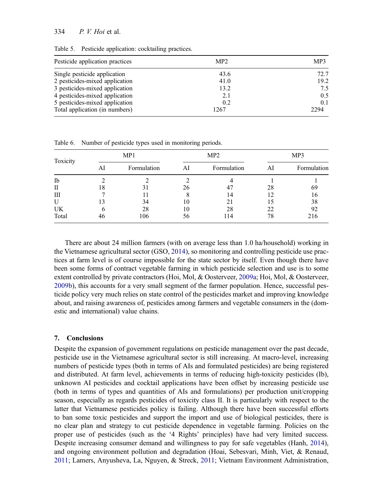# <span id="page-10-0"></span>334 P. V. Hoi et al.

| Pesticide application practices | MP <sub>2</sub> | MP3  |  |
|---------------------------------|-----------------|------|--|
| Single pesticide application    | 43.6            | 72.7 |  |
| 2 pesticides-mixed application  | 41.0            | 19.2 |  |
| 3 pesticides-mixed application  | 13.2            | 7.5  |  |
| 4 pesticides-mixed application  | 2.1             | 0.5  |  |
| 5 pesticides-mixed application  | 0.2             | 0.1  |  |
| Total application (in numbers)  | 1267            | 2294 |  |

Table 5. Pesticide application: cocktailing practices.

Table 6. Number of pesticide types used in monitoring periods.

| Toxicity | MP1 |             |    | MP2         | MP3 |             |
|----------|-----|-------------|----|-------------|-----|-------------|
|          | AI  | Formulation | Al | Formulation | AI  | Formulation |
| Ib       |     |             |    |             |     |             |
| П        | 18  | 31          | 26 | 47          | 28  | 69          |
| Ш        |     |             | 8  | 14          | 12  | 16          |
| U        |     | 34          | 10 | 21          |     | 38          |
| UK       | O   | 28          | 10 | 28          | 22  | 92          |
| Total    | 46  | 106         | 56 | 114         | 78  | 216         |

There are about 24 million farmers (with on average less than 1.0 ha/household) working in the Vietnamese agricultural sector (GSO, [2014\)](#page-12-0), so monitoring and controlling pesticide use practices at farm level is of course impossible for the state sector by itself. Even though there have been some forms of contract vegetable farming in which pesticide selection and use is to some extent controlled by private contractors (Hoi, Mol, & Oosterveer, [2009a;](#page-13-0) Hoi, Mol, & Oosterveer, [2009b\)](#page-13-0), this accounts for a very small segment of the farmer population. Hence, successful pesticide policy very much relies on state control of the pesticides market and improving knowledge about, and raising awareness of, pesticides among farmers and vegetable consumers in the (domestic and international) value chains.

# 7. Conclusions

Despite the expansion of government regulations on pesticide management over the past decade, pesticide use in the Vietnamese agricultural sector is still increasing. At macro-level, increasing numbers of pesticide types (both in terms of AIs and formulated pesticides) are being registered and distributed. At farm level, achievements in terms of reducing high-toxicity pesticides (Ib), unknown AI pesticides and cocktail applications have been offset by increasing pesticide use (both in terms of types and quantities of AIs and formulations) per production unit/cropping season, especially as regards pesticides of toxicity class II. It is particularly with respect to the latter that Vietnamese pesticides policy is failing. Although there have been successful efforts to ban some toxic pesticides and support the import and use of biological pesticides, there is no clear plan and strategy to cut pesticide dependence in vegetable farming. Policies on the proper use of pesticides (such as the '4 Rights' principles) have had very limited success. Despite increasing consumer demand and willingness to pay for safe vegetables (Hanh, [2014](#page-12-0)), and ongoing environment pollution and degradation (Hoai, Sebesvari, Minh, Viet, & Renaud, [2011;](#page-12-0) Lamers, Anyusheva, La, Nguyen, & Streck, [2011;](#page-13-0) Vietnam Environment Administration,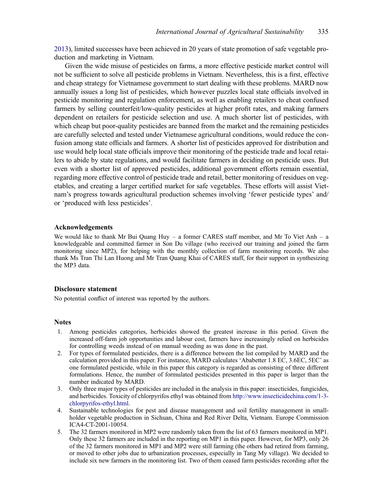<span id="page-11-0"></span>[2013\)](#page-14-0), limited successes have been achieved in 20 years of state promotion of safe vegetable production and marketing in Vietnam.

Given the wide misuse of pesticides on farms, a more effective pesticide market control will not be sufficient to solve all pesticide problems in Vietnam. Nevertheless, this is a first, effective and cheap strategy for Vietnamese government to start dealing with these problems. MARD now annually issues a long list of pesticides, which however puzzles local state officials involved in pesticide monitoring and regulation enforcement, as well as enabling retailers to cheat confused farmers by selling counterfeit/low-quality pesticides at higher profit rates, and making farmers dependent on retailers for pesticide selection and use. A much shorter list of pesticides, with which cheap but poor-quality pesticides are banned from the market and the remaining pesticides are carefully selected and tested under Vietnamese agricultural conditions, would reduce the confusion among state officials and farmers. A shorter list of pesticides approved for distribution and use would help local state officials improve their monitoring of the pesticide trade and local retailers to abide by state regulations, and would facilitate farmers in deciding on pesticide uses. But even with a shorter list of approved pesticides, additional government efforts remain essential, regarding more effective control of pesticide trade and retail, better monitoring of residues on vegetables, and creating a larger certified market for safe vegetables. These efforts will assist Vietnam's progress towards agricultural production schemes involving 'fewer pesticide types' and/ or 'produced with less pesticides'.

### Acknowledgements

We would like to thank Mr Bui Quang Huy – a former CARES staff member, and Mr To Viet Anh – a knowledgeable and committed farmer in Son Du village (who received our training and joined the farm monitoring since MP2), for helping with the monthly collection of farm monitoring records. We also thank Ms Tran Thi Lan Huong and Mr Tran Quang Khai of CARES staff, for their support in synthesizing the MP3 data.

# Disclosure statement

No potential conflict of interest was reported by the authors.

### **Notes**

- 1. Among pesticides categories, herbicides showed the greatest increase in this period. Given the increased off-farm job opportunities and labour cost, farmers have increasingly relied on herbicides for controlling weeds instead of on manual weeding as was done in the past.
- 2. For types of formulated pesticides, there is a difference between the list compiled by MARD and the calculation provided in this paper. For instance, MARD calculates 'Ababetter 1.8 EC, 3.6EC, 5EC' as one formulated pesticide, while in this paper this category is regarded as consisting of three different formulations. Hence, the number of formulated pesticides presented in this paper is larger than the number indicated by MARD.
- 3. Only three major types of pesticides are included in the analysis in this paper: insecticides, fungicides, and herbicides. Toxicity of chlorpyrifos ethyl was obtained from [http://www.insecticidechina.com/1-3](http://www.insecticidechina.com/1-3-chlorpyrifos-ethyl.html) [chlorpyrifos-ethyl.html.](http://www.insecticidechina.com/1-3-chlorpyrifos-ethyl.html)
- 4. Sustainable technologies for pest and disease management and soil fertility management in smallholder vegetable production in Sichuan, China and Red River Delta, Vietnam. Europe Commission ICA4-CT-2001-10054.
- 5. The 32 farmers monitored in MP2 were randomly taken from the list of 63 farmers monitored in MP1. Only these 32 farmers are included in the reporting on MP1 in this paper. However, for MP3, only 26 of the 32 farmers monitored in MP1 and MP2 were still farming (the others had retired from farming, or moved to other jobs due to urbanization processes, especially in Tang My village). We decided to include six new farmers in the monitoring list. Two of them ceased farm pesticides recording after the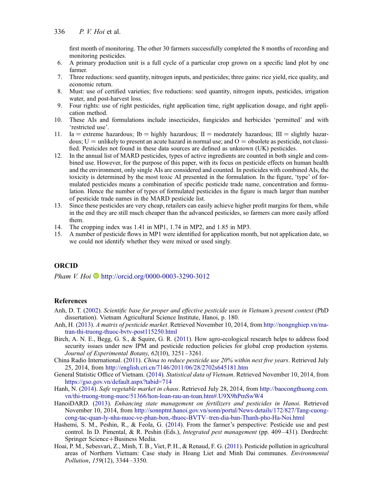first month of monitoring. The other 30 farmers successfully completed the 8 months of recording and monitoring pesticides.

- <span id="page-12-0"></span>6. A primary production unit is a full cycle of a particular crop grown on a specific land plot by one farmer.
- 7. Three reductions: seed quantity, nitrogen inputs, and pesticides; three gains: rice yield, rice quality, and economic return.
- 8. Must: use of certified varieties; five reductions: seed quantity, nitrogen inputs, pesticides, irrigation water, and post-harvest loss.
- 9. Four rights: use of right pesticides, right application time, right application dosage, and right application method.
- 10. These AIs and formulations include insecticides, fungicides and herbicides 'permitted' and with 'restricted use'.
- 11. Ia = extreme hazardous; Ib = highly hazardous; II = moderately hazardous; III = slightly hazardous;  $U =$  unlikely to present an acute hazard in normal use; and  $O =$  obsolete as pesticide, not classified. Pesticides not found in these data sources are defined as unknown (UK) pesticides.
- 12. In the annual list of MARD pesticides, types of active ingredients are counted in both single and combined use. However, for the purpose of this paper, with its focus on pesticide effects on human health and the environment, only single AIs are considered and counted. In pesticides with combined AIs, the toxicity is determined by the most toxic AI presented in the formulation. In the figure, 'type' of formulated pesticides means a combination of specific pesticide trade name, concentration and formulation. Hence the number of types of formulated pesticides in the figure is much larger than number of pesticide trade names in the MARD pesticide list.
- 13. Since these pesticides are very cheap, retailers can easily achieve higher profit margins for them, while in the end they are still much cheaper than the advanced pesticides, so farmers can more easily afford them.
- 14. The cropping index was 1.41 in MP1, 1.74 in MP2, and 1.85 in MP3.
- 15. A number of pesticide flows in MP1 were identified for application month, but not application date, so we could not identify whether they were mixed or used singly.

# ORCID

*Pham V. Hoi*  $\bullet$  <http://orcid.org/0000-0003-3290-3012>

## References

- Anh, D. T. ([2002\)](#page-1-0). Scientific base for proper and effective pesticide uses in Vietnam's present context (PhD dissertation). Vietnam Agricultural Science Institute, Hanoi, p. 180.
- Anh, H. [\(2013](#page-6-0)). A matrix of pesticide market. Retrieved November 10, 2014, from [http://nongnghiep.vn/ma](http://nongnghiep.vn/ma-tran-thi-truong-thuoc-bvtv-post115250.html)[tran-thi-truong-thuoc-bvtv-post115250.html](http://nongnghiep.vn/ma-tran-thi-truong-thuoc-bvtv-post115250.html)
- Birch, A. N. E., Begg, G. S., & Squire, G. R. ([2011\)](#page-2-0). How agro-ecological research helps to address food security issues under new IPM and pesticide reduction policies for global crop production systems. Journal of Experimental Botany, 62(10), 3251–3261.
- China Radio International. [\(2011\)](#page-2-0). China to reduce pesticide use 20% within next five years. Retrieved July 25, 2014, from <http://english.cri.cn/7146/2011/06/28/2702s645181.htm>
- General Statistic Office of Vietnam. ([2014\)](#page-10-0). Statistical data of Vietnam. Retrieved November 10, 2014, from [https://gso.gov.vn/default.aspx?tabid=714](http://gso.gov.vn/default.aspx?tabid=714)
- Hanh, N. ([2014\)](#page-10-0). Safe vegetable market in chaos. Retrieved July 28, 2014, from [http://baocongthuong.com.](http://baocongthuong.com.vn/thi-truong-trong-nuoc/51366/hon-loan-rau-an-toan.htm#.U9X9hPmSwW4) [vn/thi-truong-trong-nuoc/51366/hon-loan-rau-an-toan.htm#.U9X9hPmSwW4](http://baocongthuong.com.vn/thi-truong-trong-nuoc/51366/hon-loan-rau-an-toan.htm#.U9X9hPmSwW4)
- HanoiDARD. ([2013\)](#page-6-0). Enhancing state management on fertilizers and pesticides in Hanoi. Retrieved November 10, 2014, from [http://sonnptnt.hanoi.gov.vn/sonn/portal/News-details/172/827/Tang-cuong](http://sonnptnt.hanoi.gov.vn/sonn/portal/News-details/172/827/Tang-cuong-cong-tac-quan-ly-nha-nuoc-ve-phan-bon,-thuoc-BVTV--tren-dia-ban-Thanh-pho-Ha-Noi.html)[cong-tac-quan-ly-nha-nuoc-ve-phan-bon,-thuoc-BVTV–tren-dia-ban-Thanh-pho-Ha-Noi.html](http://sonnptnt.hanoi.gov.vn/sonn/portal/News-details/172/827/Tang-cuong-cong-tac-quan-ly-nha-nuoc-ve-phan-bon,-thuoc-BVTV--tren-dia-ban-Thanh-pho-Ha-Noi.html)
- Hashemi, S. M., Peshin, R., & Feola, G. ([2014\)](#page-2-0). From the farmer's perspective: Pesticide use and pest control. In D. Pimental, & R. Peshin (Eds.), *Integrated pest management* (pp. 409–431). Dordrecht: Springer Science+Business Media.
- Hoai, P. M., Sebesvari, Z., Minh, T. B., Viet, P. H., & Renaud, F. G. [\(2011](#page-10-0)). Pesticide pollution in agricultural areas of Northern Vietnam: Case study in Hoang Liet and Minh Dai communes. Environmental Pollution, 159(12), 3344 –3350.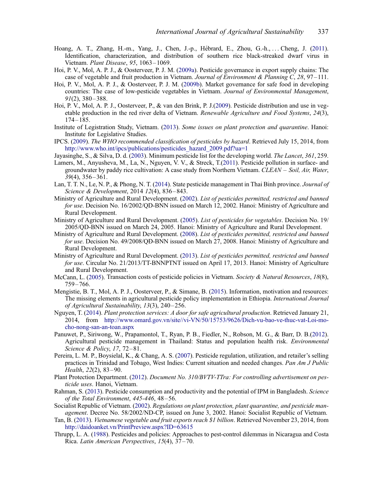- <span id="page-13-0"></span>Hoang, A. T., Zhang, H.-m., Yang, J., Chen, J.-p., Hébrard, E., Zhou, G.-h., ... Cheng, J. ([2011\)](#page-1-0). Identification, characterization, and distribution of southern rice black-streaked dwarf virus in Vietnam. Plant Disease, 95, 1063–1069.
- Hoi, P. V., Mol, A. P. J., & Oosterveer, P. J. M. ([2009a\)](#page-10-0). Pesticide governance in export supply chains: The case of vegetable and fruit production in Vietnam. Journal of Environment & Planning C, 28, 97–111.
- Hoi, P. V., Mol, A. P. J., & Oosterveer, P. J. M. ([2009b](#page-10-0)). Market governance for safe food in developing countries: The case of low-pesticide vegetables in Vietnam. Journal of Environmental Management,  $91(2)$ , 380–388.
- Hoi, P. V., Mol, A. P. J., Oosterveer, P., & van den Brink, P. J.[\(2009](#page-4-0)). Pesticide distribution and use in vegetable production in the red river delta of Vietnam. Renewable Agriculture and Food Systems, 24(3),  $174 - 185.$
- Institute of Legistration Study, Vietnam. [\(2013\)](#page-1-0). Some issues on plant protection and quarantine. Hanoi: Institute for Legislative Studies.
- IPCS. [\(2009](#page-3-0)). The WHO recommended classification of pesticides by hazard. Retrieved July 15, 2014, from [http://www.who.int/ipcs/publications/pesticides\\_hazard\\_2009.pdf?ua=1](http://www.who.int/ipcs/publications/pesticides_hazard_2009.pdf?ua=1)
- Jayasinghe, S., & Silva, D. d. [\(2003](#page-2-0)). Minimum pesticide list for the developing world. The Lancet, 361, 259.
- Lamers, M., Anyusheva, M., La, N., Nguyen, V. V., & Streck, T.[\(2011\)](#page-10-0). Pesticide pollution in surface- and groundwater by paddy rice cultivation: A case study from Northern Vietnam. CLEAN – Soil, Air, Water, 39(4), 356– 361.
- Lan, T. T. N., Le, N. P., & Phong, N. T. ([2014\)](#page-5-0). State pesticide management in Thai Binh province. Journal of Science & Development, 2014 12(4), 836-843.
- Ministry of Agriculture and Rural Development. ([2002\)](#page-5-0). List of pesticides permitted, restricted and banned for use. Decision No. 16/2002/QD-BNN issued on March 12, 2002. Hanoi: Ministry of Agriculture and Rural Development.
- Ministry of Agriculture and Rural Development. [\(2005](#page-5-0)). List of pesticides for vegetables. Decision No. 19/ 2005/QD-BNN issued on March 24, 2005. Hanoi: Ministry of Agriculture and Rural Development.
- Ministry of Agriculture and Rural Development. ([2008\)](#page-5-0). List of pesticides permitted, restricted and banned for use. Decision No. 49/2008/QÐ-BNN issued on March 27, 2008. Hanoi: Ministry of Agriculture and Rural Development.
- Ministry of Agriculture and Rural Development. ([2013\)](#page-5-0). List of pesticides permitted, restricted and banned for use. Circular No. 21/2013/TT-BNNPTNT issued on April 17, 2013. Hanoi: Ministry of Agriculture and Rural Development.
- McCann, L. [\(2005\)](#page-2-0). Transaction costs of pesticide policies in Vietnam. Society & Natural Resources, 18(8), 759 –766.
- Mengistie, B. T., Mol, A. P. J., Oosterveer, P., & Simane, B. [\(2015](#page-2-0)). Information, motivation and resources: The missing elements in agricultural pesticide policy implementation in Ethiopia. *International Journal* of Agricultural Sustainability, 13(3), 240-256.
- Nguyen, T. [\(2014](#page-4-0)). Plant protection services: A door for safe agricultural production. Retrieved January 21, 2014, from [http://www.omard.gov.vn/site//vi-VN/50/15753/9626/Dich-vu-bao-ve-thuc-vat-Loi-mo](http://www.omard.gov.vn/site//vi-VN/50/15753/9626/Dich-vu-bao-ve-thuc-vat-Loi-mo-cho-nong-san-an-toan.aspx)[cho-nong-san-an-toan.aspx](http://www.omard.gov.vn/site//vi-VN/50/15753/9626/Dich-vu-bao-ve-thuc-vat-Loi-mo-cho-nong-san-an-toan.aspx)
- Panuwet, P., Siriwong, W., Prapamontol, T., Ryan, P. B., Fiedler, N., Robson, M. G., & Barr, D. B.([2012\)](#page-2-0). Agricultural pesticide management in Thailand: Status and population health risk. Environmental Science & Policy, 17, 72–81.
- Pereira, L. M. P., Boysielal, K., & Chang, A. S. [\(2007](#page-2-0)). Pesticide regulation, utilization, and retailer's selling practices in Trinidad and Tobago, West Indies: Current situation and needed changes. Pan Am J Public Health, 22(2), 83-90.
- Plant Protection Department. [\(2012](#page-4-0)). Document No. 310/BVTV-TTra: For controlling advertisement on pesticide uses. Hanoi, Vietnam.
- Rahman, S. [\(2013\)](#page-2-0). Pesticide consumption and productivity and the potential of IPM in Bangladesh. Science of the Total Environment, 445-446, 48-56.
- Socialist Republic of Vietnam. ([2002\)](#page-4-0). Regulations on plant protection, plant quarantine, and pesticide management. Decree No. 58/2002/ND-CP, issued on June 3, 2002. Hanoi: Socialist Republic of Vietnam.
- Tan, B. [\(2013](#page-2-0)). Vietnamese vegetable and fruit exports reach \$1 billion. Retrieved November 23, 2014, from <http://daidoanket.vn/PrintPreview.aspx?ID=63615>
- Thrupp, L. A. [\(1988](#page-2-0)). Pesticides and policies: Approaches to pest-control dilemmas in Nicaragua and Costa Rica. Latin American Perspectives, 15(4), 37–70.